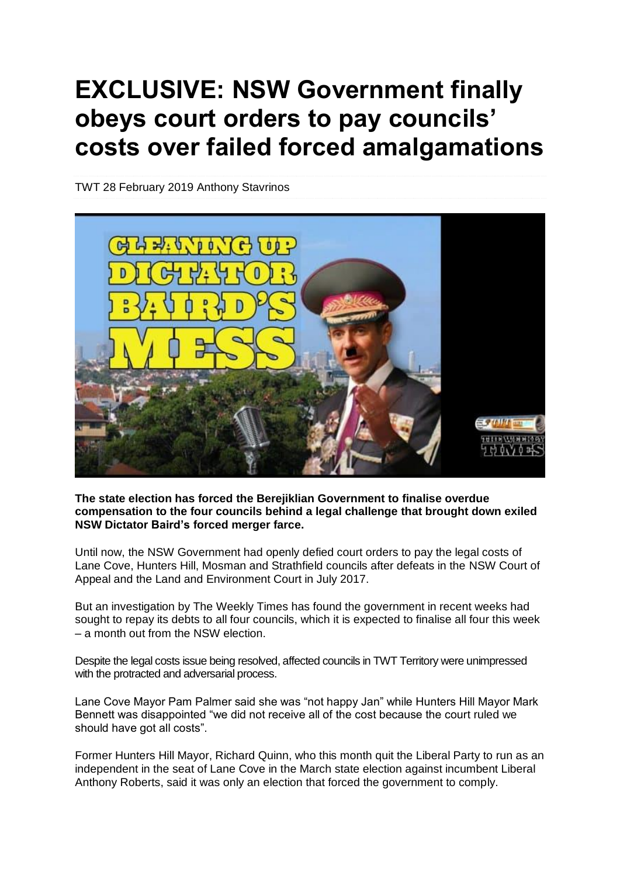# **EXCLUSIVE: NSW Government finally obeys court orders to pay councils' costs over failed forced amalgamations**

TWT 28 [February](https://weeklytimes.com.au/2019/02/) 2019 [Anthony](https://weeklytimes.com.au/author/anthony-stavrinos/) Stavrinos



#### **The state election has forced the Berejiklian Government to finalise overdue compensation to the four councils behind a legal challenge that brought down exiled NSW Dictator Baird's forced merger farce.**

Until now, the NSW Government had openly defied court orders to pay the legal costs of Lane Cove, Hunters Hill, Mosman and Strathfield councils after defeats in the NSW Court of Appeal and the Land and Environment Court in July 2017.

But an investigation by The Weekly Times has found the government in recent weeks had sought to repay its debts to all four councils, which it is expected to finalise all four this week – a month out from the NSW election.

Despite the legal costs issue being resolved, affected councils in TWT Territory were unimpressed with the protracted and adversarial process.

Lane Cove Mayor Pam Palmer said she was "not happy Jan" while Hunters Hill Mayor Mark Bennett was disappointed "we did not receive all of the cost because the court ruled we should have got all costs".

Former Hunters Hill Mayor, Richard Quinn, who this month quit the Liberal Party to run as an independent in the seat of Lane Cove in the March state election against incumbent Liberal Anthony Roberts, said it was only an election that forced the government to comply.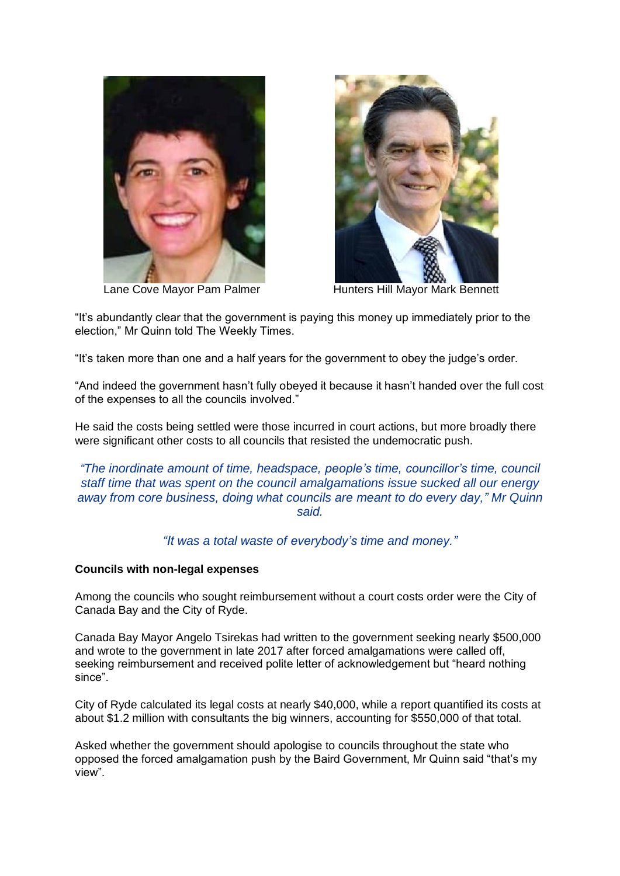



Lane Cove Mayor Pam Palmer Hunters Hill Mayor Mark Bennett

"It's abundantly clear that the government is paying this money up immediately prior to the election," Mr Quinn told The Weekly Times.

"It's taken more than one and a half years for the government to obey the judge's order.

"And indeed the government hasn't fully obeyed it because it hasn't handed over the full cost of the expenses to all the councils involved."

He said the costs being settled were those incurred in court actions, but more broadly there were significant other costs to all councils that resisted the undemocratic push.

*"The inordinate amount of time, headspace, people's time, councillor's time, council staff time that was spent on the council amalgamations issue sucked all our energy away from core business, doing what councils are meant to do every day," Mr Quinn said.*

*"It was a total waste of everybody's time and money."*

#### **Councils with non-legal expenses**

Among the councils who sought reimbursement without a court costs order were the City of Canada Bay and the City of Ryde.

Canada Bay Mayor Angelo Tsirekas had written to the government seeking nearly \$500,000 and wrote to the government in late 2017 after forced amalgamations were called off, seeking reimbursement and received polite letter of acknowledgement but "heard nothing since".

City of Ryde calculated its legal costs at nearly \$40,000, while a report quantified its costs at about \$1.2 million with consultants the big winners, accounting for \$550,000 of that total.

Asked whether the government should apologise to councils throughout the state who opposed the forced amalgamation push by the Baird Government, Mr Quinn said "that's my view".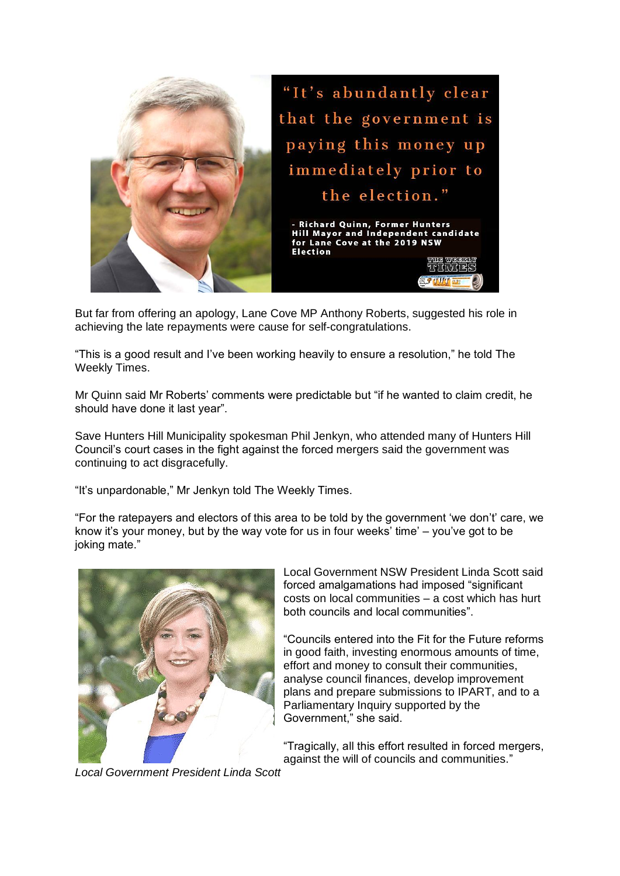

But far from offering an apology, Lane Cove MP Anthony Roberts, suggested his role in achieving the late repayments were cause for self-congratulations.

"This is a good result and I've been working heavily to ensure a resolution," he told The Weekly Times.

Mr Quinn said Mr Roberts' comments were predictable but "if he wanted to claim credit, he should have done it last year".

Save Hunters Hill Municipality spokesman Phil Jenkyn, who attended many of Hunters Hill Council's court cases in the fight against the forced mergers said the government was continuing to act disgracefully.

"It's unpardonable," Mr Jenkyn told The Weekly Times.

"For the ratepayers and electors of this area to be told by the government 'we don't' care, we know it's your money, but by the way vote for us in four weeks' time' – you've got to be joking mate."



Local Government NSW President Linda Scott said forced amalgamations had imposed "significant costs on local communities – a cost which has hurt both councils and local communities".

"Councils entered into the Fit for the Future reforms in good faith, investing enormous amounts of time, effort and money to consult their communities, analyse council finances, develop improvement plans and prepare submissions to IPART, and to a Parliamentary Inquiry supported by the Government," she said.

"Tragically, all this effort resulted in forced mergers, against the will of councils and communities."

*Local Government President Linda Scott*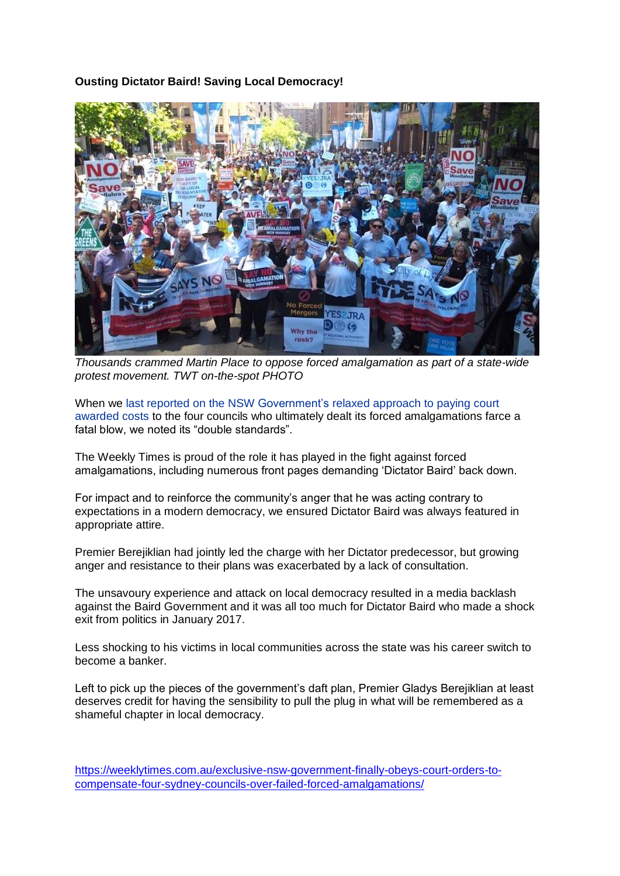#### **Ousting Dictator Baird! Saving Local Democracy!**



*Thousands crammed Martin Place to oppose forced amalgamation as part of a state-wide protest movement. TWT on-the-spot PHOTO*

When we last reported on the NSW [Government's](https://weeklytimes.com.au/double-standards-state-govt-leaves-communities-out-of-pocket-over-mergers-farce/) relaxed approach to paying court [awarded](https://weeklytimes.com.au/double-standards-state-govt-leaves-communities-out-of-pocket-over-mergers-farce/) costs to the four councils who ultimately dealt its forced amalgamations farce a fatal blow, we noted its "double standards".

The Weekly Times is proud of the role it has played in the fight against forced amalgamations, including numerous front pages demanding 'Dictator Baird' back down.

For impact and to reinforce the community's anger that he was acting contrary to expectations in a modern democracy, we ensured Dictator Baird was always featured in appropriate attire.

Premier Berejiklian had jointly led the charge with her Dictator predecessor, but growing anger and resistance to their plans was exacerbated by a lack of consultation.

The unsavoury experience and attack on local democracy resulted in a media backlash against the Baird Government and it was all too much for Dictator Baird who made a shock exit from politics in January 2017.

Less shocking to his victims in local communities across the state was his career switch to become a banker.

Left to pick up the pieces of the government's daft plan, Premier Gladys Berejiklian at least deserves credit for having the sensibility to pull the plug in what will be remembered as a shameful chapter in local democracy.

[https://weeklytimes.com.au/exclusive-nsw-government-finally-obeys-court-orders-to](https://weeklytimes.com.au/exclusive-nsw-government-finally-obeys-court-orders-to-compensate-four-sydney-councils-over-failed-forced-amalgamations/)[compensate-four-sydney-councils-over-failed-forced-amalgamations/](https://weeklytimes.com.au/exclusive-nsw-government-finally-obeys-court-orders-to-compensate-four-sydney-councils-over-failed-forced-amalgamations/)